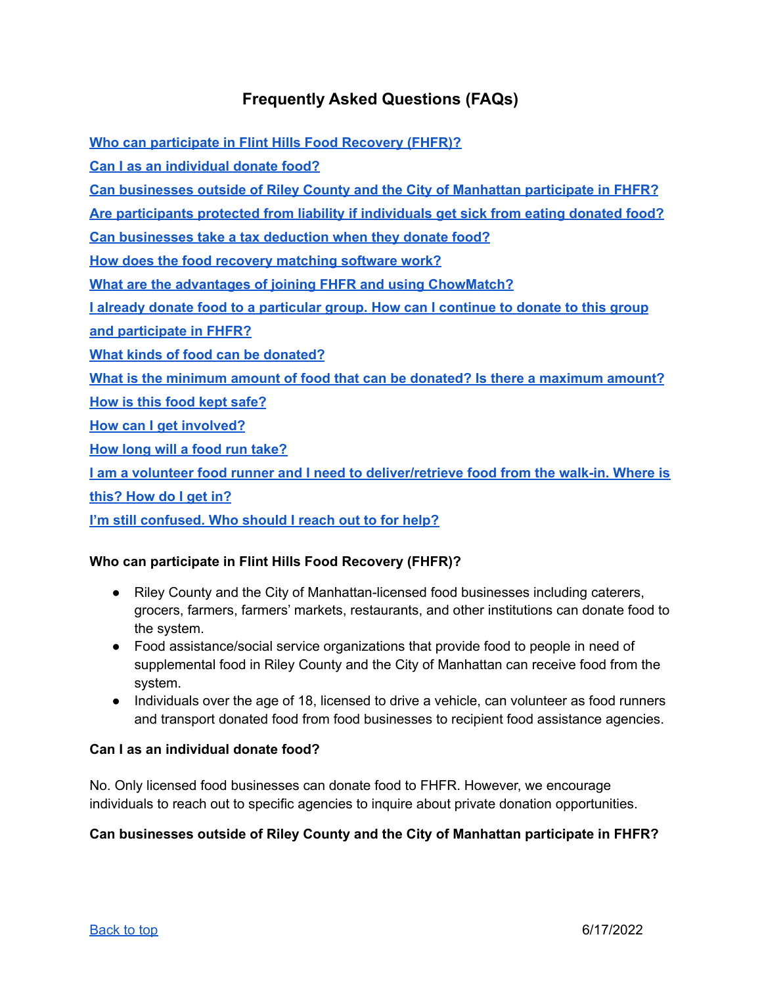## **Frequently Asked Questions (FAQs)**

<span id="page-0-0"></span>**Who can [participate](#page-0-0) in Flint Hills Food Recovery (FHFR)?**

**Can I as an [individual](#page-0-1) donate food?**

**Can [businesses](#page-0-2) outside of Riley County and the City of Manhattan participate in FHFR?**

**Are [participants](#page-1-0) protected from liability if individuals get sick from eating donated food?**

**Can [businesses](#page-1-1) take a tax deduction when they donate food?**

**How does the food recovery [matching](#page-1-2) software work?**

**What are the advantages of joining FHFR and using [ChowMatch?](#page-1-3)**

**I already donate food to a [particular](#page-2-0) group. How can I continue to donate to this group**

**and [participate](#page-2-0) in FHFR?**

**What kinds of food can be [donated?](#page-2-1)**

**What is the minimum amount of food that can be donated? Is there a [maximum](#page-2-2) amount?**

**How is this food kept [safe?](#page-2-3)**

**How can I get [involved?](#page-2-4)**

**How long will a food run [take?](#page-2-5)**

**I am a volunteer food runner and I need to [deliver/retrieve](#page-3-0) food from the walk-in. Where is [this?](#page-3-0) How do I get in?**

**I'm still [confused.](#page-3-1) Who should I reach out to for help?**

## **Who can participate in Flint Hills Food Recovery (FHFR)?**

- Riley County and the City of Manhattan-licensed food businesses including caterers, grocers, farmers, farmers' markets, restaurants, and other institutions can donate food to the system.
- Food assistance/social service organizations that provide food to people in need of supplemental food in Riley County and the City of Manhattan can receive food from the system.
- Individuals over the age of 18, licensed to drive a vehicle, can volunteer as food runners and transport donated food from food businesses to recipient food assistance agencies.

### <span id="page-0-1"></span>**Can I as an individual donate food?**

No. Only licensed food businesses can donate food to FHFR. However, we encourage individuals to reach out to specific agencies to inquire about private donation opportunities.

## <span id="page-0-2"></span>**Can businesses outside of Riley County and the City of Manhattan participate in FHFR?**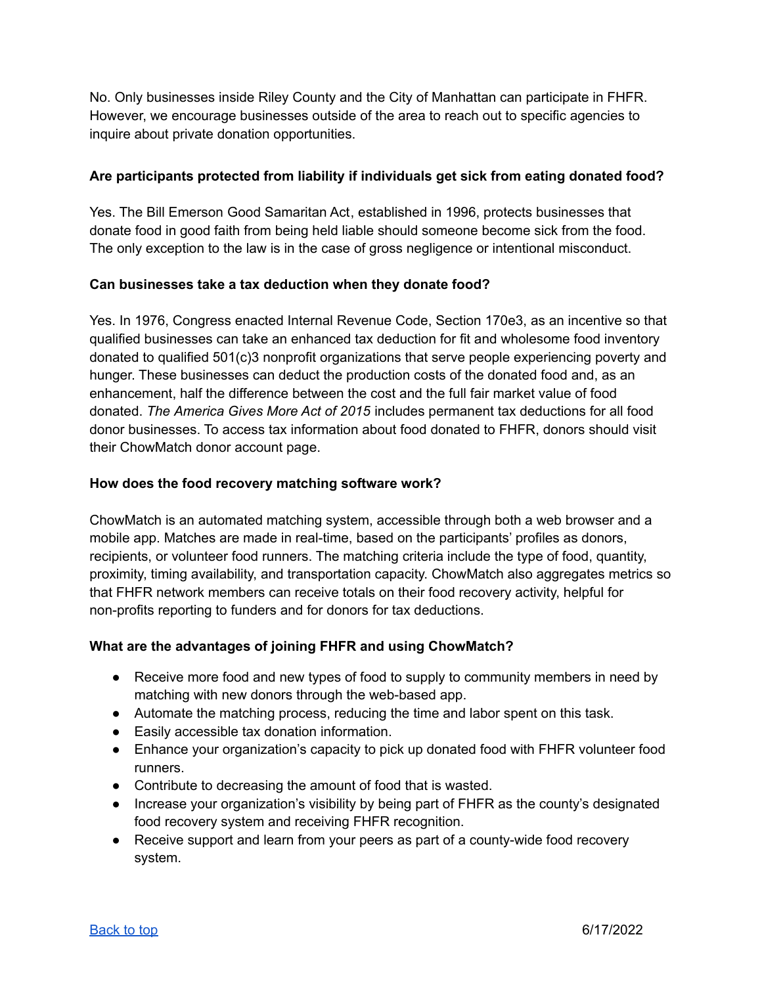No. Only businesses inside Riley County and the City of Manhattan can participate in FHFR. However, we encourage businesses outside of the area to reach out to specific agencies to inquire about private donation opportunities.

## <span id="page-1-0"></span>**Are participants protected from liability if individuals get sick from eating donated food?**

Yes. The Bill Emerson Good [Samaritan](https://www.gpo.gov/fdsys/pkg/PLAW-104publ210/pdf/PLAW-104publ210.pdf) Act, established in 1996, protects businesses that donate food in good faith from being held liable should someone become sick from the food. The only exception to the law is in the case of gross negligence or intentional misconduct.

### <span id="page-1-1"></span>**Can businesses take a tax deduction when they donate food?**

Yes. In 1976, Congress enacted Internal Revenue Code, Section 170e3, as an incentive so that qualified businesses can take an enhanced tax deduction for fit and wholesome food inventory donated to qualified 501(c)3 nonprofit organizations that serve people experiencing poverty and hunger. These businesses can deduct the production costs of the donated food and, as an enhancement, half the difference between the cost and the full fair market value of food donated. *The [America](http://docs.house.gov/billsthisweek/20151214/121515.250_xml.pdf) Gives More Act of 2015* includes permanent tax deductions for all food donor businesses. To access tax information about food donated to FHFR, donors should visit their ChowMatch donor account page.

### <span id="page-1-2"></span>**How does the food recovery matching software work?**

ChowMatch is an automated matching system, accessible through both a web browser and a mobile app. Matches are made in real-time, based on the participants' profiles as donors, recipients, or volunteer food runners. The matching criteria include the type of food, quantity, proximity, timing availability, and transportation capacity. ChowMatch also aggregates metrics so that FHFR network members can receive totals on their food recovery activity, helpful for non-profits reporting to funders and for donors for tax deductions.

### <span id="page-1-3"></span>**What are the advantages of joining FHFR and using ChowMatch?**

- Receive more food and new types of food to supply to community members in need by matching with new donors through the web-based app.
- Automate the matching process, reducing the time and labor spent on this task.
- Easily accessible tax donation information.
- Enhance your organization's capacity to pick up donated food with FHFR volunteer food runners.
- Contribute to decreasing the amount of food that is wasted.
- Increase your organization's visibility by being part of FHFR as the county's designated food recovery system and receiving FHFR recognition.
- Receive support and learn from your peers as part of a county-wide food recovery system.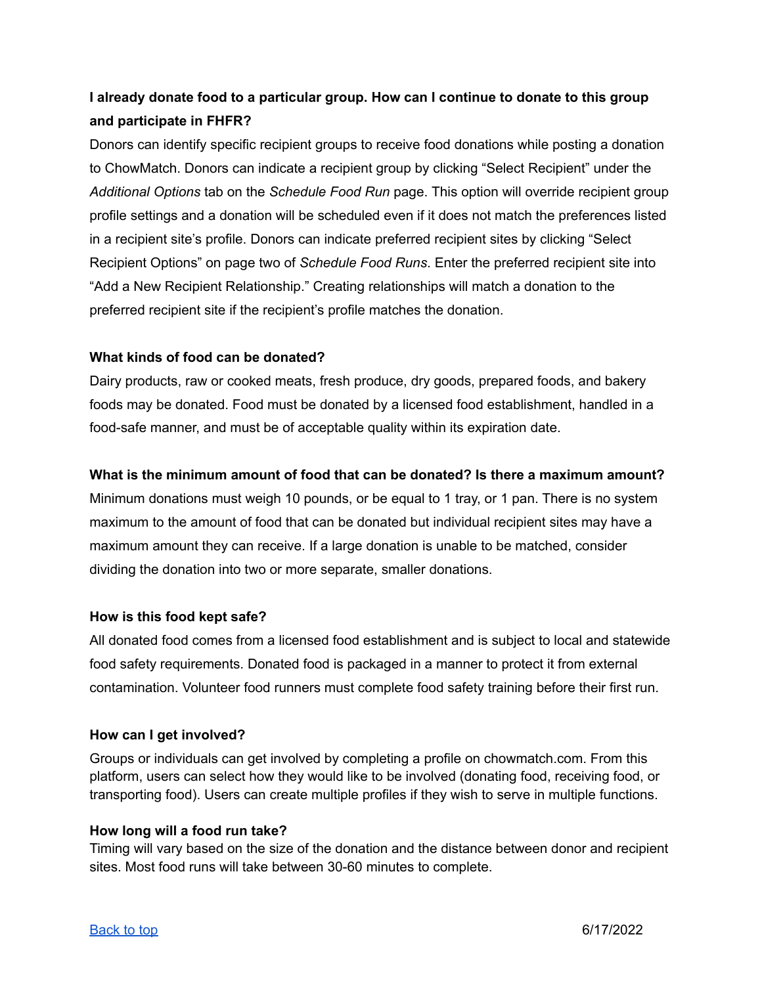## <span id="page-2-0"></span>**I already donate food to a particular group. How can I continue to donate to this group and participate in FHFR?**

Donors can identify specific recipient groups to receive food donations while posting a donation to ChowMatch. Donors can indicate a recipient group by clicking "Select Recipient" under the *Additional Options* tab on the *Schedule Food Run* page. This option will override recipient group profile settings and a donation will be scheduled even if it does not match the preferences listed in a recipient site's profile. Donors can indicate preferred recipient sites by clicking "Select Recipient Options" on page two of *Schedule Food Runs*. Enter the preferred recipient site into "Add a New Recipient Relationship." Creating relationships will match a donation to the preferred recipient site if the recipient's profile matches the donation.

### <span id="page-2-1"></span>**What kinds of food can be donated?**

Dairy products, raw or cooked meats, fresh produce, dry goods, prepared foods, and bakery foods may be donated. Food must be donated by a licensed food establishment, handled in a food-safe manner, and must be of acceptable quality within its expiration date.

### <span id="page-2-2"></span>**What is the minimum amount of food that can be donated? Is there a maximum amount?**

Minimum donations must weigh 10 pounds, or be equal to 1 tray, or 1 pan. There is no system maximum to the amount of food that can be donated but individual recipient sites may have a maximum amount they can receive. If a large donation is unable to be matched, consider dividing the donation into two or more separate, smaller donations.

### <span id="page-2-3"></span>**How is this food kept safe?**

All donated food comes from a licensed food establishment and is subject to local and statewide food safety requirements. Donated food is packaged in a manner to protect it from external contamination. Volunteer food runners must complete food safety training before their first run.

### <span id="page-2-4"></span>**How can I get involved?**

Groups or individuals can get involved by completing a profile on chowmatch.com. From this platform, users can select how they would like to be involved (donating food, receiving food, or transporting food). Users can create multiple profiles if they wish to serve in multiple functions.

### <span id="page-2-5"></span>**How long will a food run take?**

Timing will vary based on the size of the donation and the distance between donor and recipient sites. Most food runs will take between 30-60 minutes to complete.